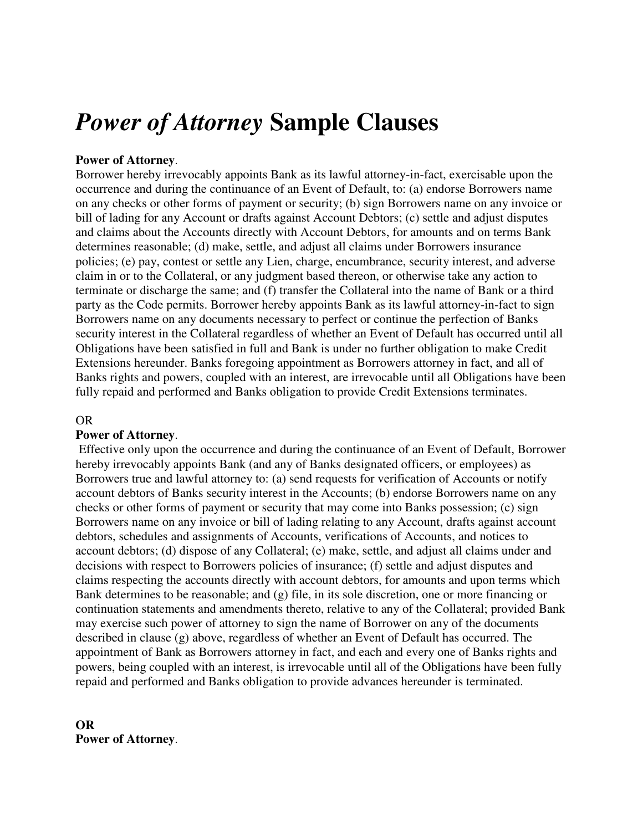# *Power of Attorney* **Sample Clauses**

## **Power of Attorney**.

Borrower hereby irrevocably appoints Bank as its lawful attorney-in-fact, exercisable upon the occurrence and during the continuance of an Event of Default, to: (a) endorse Borrowers name on any checks or other forms of payment or security; (b) sign Borrowers name on any invoice or bill of lading for any Account or drafts against Account Debtors; (c) settle and adjust disputes and claims about the Accounts directly with Account Debtors, for amounts and on terms Bank determines reasonable; (d) make, settle, and adjust all claims under Borrowers insurance policies; (e) pay, contest or settle any Lien, charge, encumbrance, security interest, and adverse claim in or to the Collateral, or any judgment based thereon, or otherwise take any action to terminate or discharge the same; and (f) transfer the Collateral into the name of Bank or a third party as the Code permits. Borrower hereby appoints Bank as its lawful attorney-in-fact to sign Borrowers name on any documents necessary to perfect or continue the perfection of Banks security interest in the Collateral regardless of whether an Event of Default has occurred until all Obligations have been satisfied in full and Bank is under no further obligation to make Credit Extensions hereunder. Banks foregoing appointment as Borrowers attorney in fact, and all of Banks rights and powers, coupled with an interest, are irrevocable until all Obligations have been fully repaid and performed and Banks obligation to provide Credit Extensions terminates.

## OR

## **Power of Attorney**.

 Effective only upon the occurrence and during the continuance of an Event of Default, Borrower hereby irrevocably appoints Bank (and any of Banks designated officers, or employees) as Borrowers true and lawful attorney to: (a) send requests for verification of Accounts or notify account debtors of Banks security interest in the Accounts; (b) endorse Borrowers name on any checks or other forms of payment or security that may come into Banks possession; (c) sign Borrowers name on any invoice or bill of lading relating to any Account, drafts against account debtors, schedules and assignments of Accounts, verifications of Accounts, and notices to account debtors; (d) dispose of any Collateral; (e) make, settle, and adjust all claims under and decisions with respect to Borrowers policies of insurance; (f) settle and adjust disputes and claims respecting the accounts directly with account debtors, for amounts and upon terms which Bank determines to be reasonable; and (g) file, in its sole discretion, one or more financing or continuation statements and amendments thereto, relative to any of the Collateral; provided Bank may exercise such power of attorney to sign the name of Borrower on any of the documents described in clause (g) above, regardless of whether an Event of Default has occurred. The appointment of Bank as Borrowers attorney in fact, and each and every one of Banks rights and powers, being coupled with an interest, is irrevocable until all of the Obligations have been fully repaid and performed and Banks obligation to provide advances hereunder is terminated.

**OR Power of Attorney**.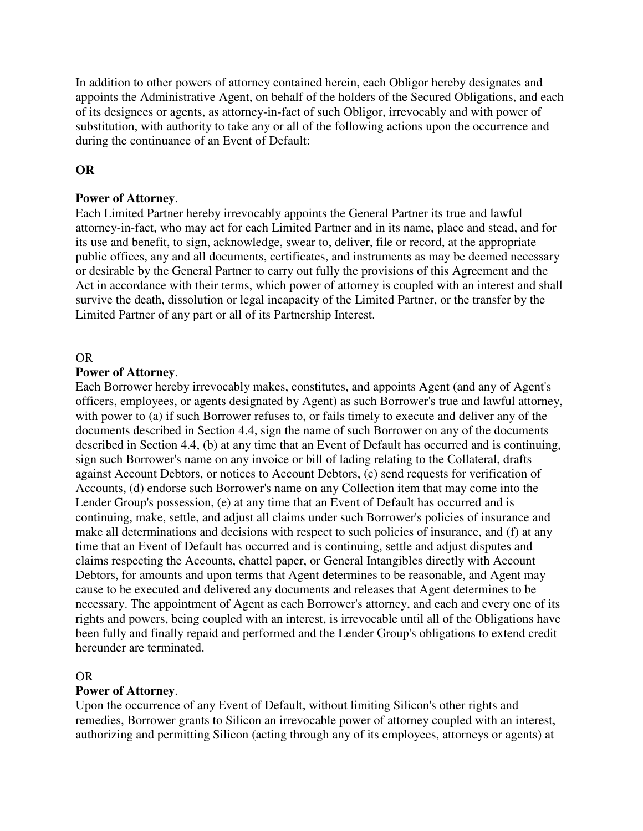In addition to other powers of attorney contained herein, each Obligor hereby designates and appoints the Administrative Agent, on behalf of the holders of the Secured Obligations, and each of its designees or agents, as attorney-in-fact of such Obligor, irrevocably and with power of substitution, with authority to take any or all of the following actions upon the occurrence and during the continuance of an Event of Default:

## **OR**

## **Power of Attorney**.

Each Limited Partner hereby irrevocably appoints the General Partner its true and lawful attorney-in-fact, who may act for each Limited Partner and in its name, place and stead, and for its use and benefit, to sign, acknowledge, swear to, deliver, file or record, at the appropriate public offices, any and all documents, certificates, and instruments as may be deemed necessary or desirable by the General Partner to carry out fully the provisions of this Agreement and the Act in accordance with their terms, which power of attorney is coupled with an interest and shall survive the death, dissolution or legal incapacity of the Limited Partner, or the transfer by the Limited Partner of any part or all of its Partnership Interest.

## OR

## **Power of Attorney**.

Each Borrower hereby irrevocably makes, constitutes, and appoints Agent (and any of Agent's officers, employees, or agents designated by Agent) as such Borrower's true and lawful attorney, with power to (a) if such Borrower refuses to, or fails timely to execute and deliver any of the documents described in Section 4.4, sign the name of such Borrower on any of the documents described in Section 4.4, (b) at any time that an Event of Default has occurred and is continuing, sign such Borrower's name on any invoice or bill of lading relating to the Collateral, drafts against Account Debtors, or notices to Account Debtors, (c) send requests for verification of Accounts, (d) endorse such Borrower's name on any Collection item that may come into the Lender Group's possession, (e) at any time that an Event of Default has occurred and is continuing, make, settle, and adjust all claims under such Borrower's policies of insurance and make all determinations and decisions with respect to such policies of insurance, and (f) at any time that an Event of Default has occurred and is continuing, settle and adjust disputes and claims respecting the Accounts, chattel paper, or General Intangibles directly with Account Debtors, for amounts and upon terms that Agent determines to be reasonable, and Agent may cause to be executed and delivered any documents and releases that Agent determines to be necessary. The appointment of Agent as each Borrower's attorney, and each and every one of its rights and powers, being coupled with an interest, is irrevocable until all of the Obligations have been fully and finally repaid and performed and the Lender Group's obligations to extend credit hereunder are terminated.

## OR

## **Power of Attorney**.

Upon the occurrence of any Event of Default, without limiting Silicon's other rights and remedies, Borrower grants to Silicon an irrevocable power of attorney coupled with an interest, authorizing and permitting Silicon (acting through any of its employees, attorneys or agents) at